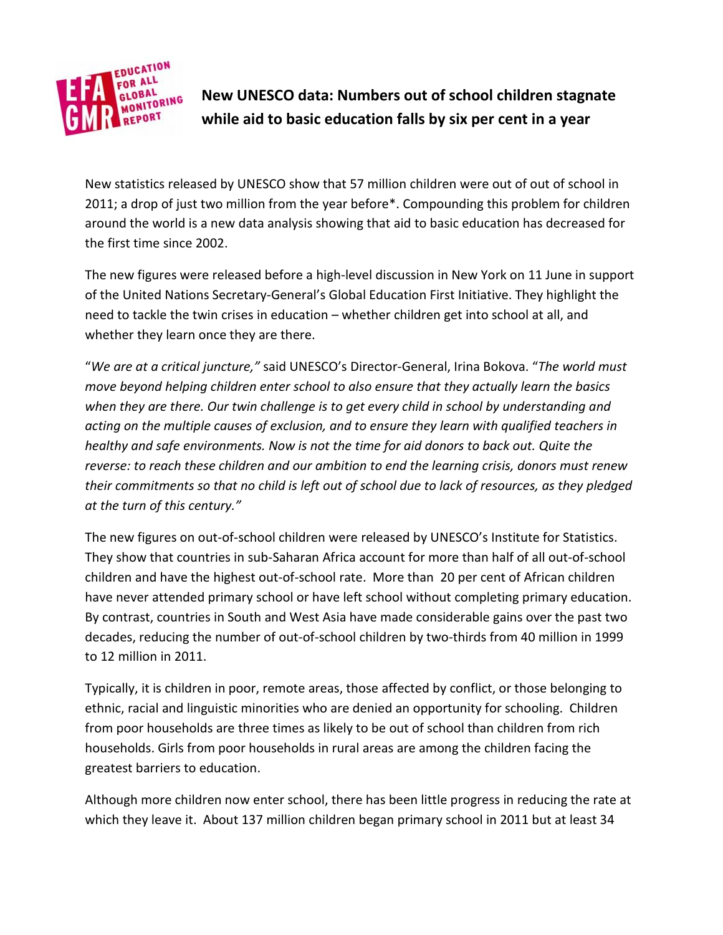

**New UNESCO data: Numbers out of school children stagnate while aid to basic education falls by six per cent in a year**

New statistics released by UNESCO show that 57 million children were out of out of school in 2011; a drop of just two million from the year before\*. Compounding this problem for children around the world is a new data analysis showing that aid to basic education has decreased for the first time since 2002.

The new figures were released before a high-level discussion in New York on 11 June in support of the United Nations Secretary-General's Global Education First Initiative. They highlight the need to tackle the twin crises in education – whether children get into school at all, and whether they learn once they are there.

"*We are at a critical juncture,"* said UNESCO's Director-General, Irina Bokova. "*The world must move beyond helping children enter school to also ensure that they actually learn the basics when they are there. Our twin challenge is to get every child in school by understanding and acting on the multiple causes of exclusion, and to ensure they learn with qualified teachers in healthy and safe environments. Now is not the time for aid donors to back out. Quite the reverse: to reach these children and our ambition to end the learning crisis, donors must renew their commitments so that no child is left out of school due to lack of resources, as they pledged at the turn of this century."*

The new figures on out-of-school children were released by UNESCO's Institute for Statistics. They show that countries in sub-Saharan Africa account for more than half of all out-of-school children and have the highest out-of-school rate. More than 20 per cent of African children have never attended primary school or have left school without completing primary education. By contrast, countries in South and West Asia have made considerable gains over the past two decades, reducing the number of out-of-school children by two-thirds from 40 million in 1999 to 12 million in 2011.

Typically, it is children in poor, remote areas, those affected by conflict, or those belonging to ethnic, racial and linguistic minorities who are denied an opportunity for schooling. Children from poor households are three times as likely to be out of school than children from rich households. Girls from poor households in rural areas are among the children facing the greatest barriers to education.

Although more children now enter school, there has been little progress in reducing the rate at which they leave it. About 137 million children began primary school in 2011 but at least 34